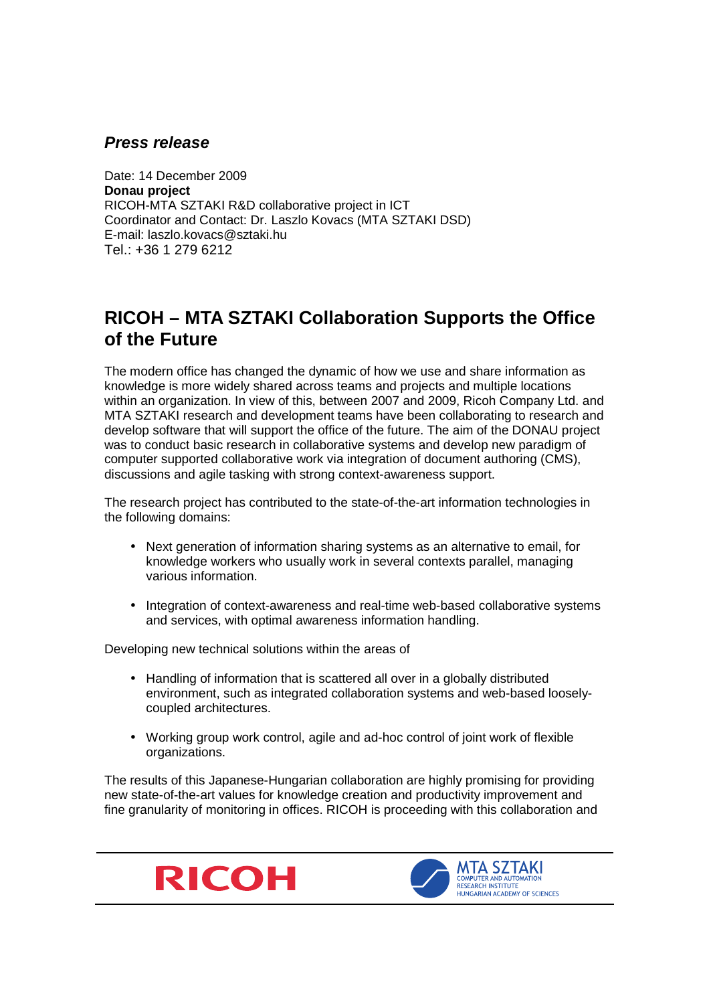## **Press release**

Date: 14 December 2009 **Donau project**  RICOH-MTA SZTAKI R&D collaborative project in ICT Coordinator and Contact: Dr. Laszlo Kovacs (MTA SZTAKI DSD) E-mail: laszlo.kovacs@sztaki.hu Tel.: +36 1 279 6212

## **RICOH – MTA SZTAKI Collaboration Supports the Office of the Future**

The modern office has changed the dynamic of how we use and share information as knowledge is more widely shared across teams and projects and multiple locations within an organization. In view of this, between 2007 and 2009, Ricoh Company Ltd. and MTA SZTAKI research and development teams have been collaborating to research and develop software that will support the office of the future. The aim of the DONAU project was to conduct basic research in collaborative systems and develop new paradigm of computer supported collaborative work via integration of document authoring (CMS), discussions and agile tasking with strong context-awareness support.

The research project has contributed to the state-of-the-art information technologies in the following domains:

- Next generation of information sharing systems as an alternative to email, for knowledge workers who usually work in several contexts parallel, managing various information.
- Integration of context-awareness and real-time web-based collaborative systems and services, with optimal awareness information handling.

Developing new technical solutions within the areas of

- Handling of information that is scattered all over in a globally distributed environment, such as integrated collaboration systems and web-based looselycoupled architectures.
- Working group work control, agile and ad-hoc control of joint work of flexible organizations.

The results of this Japanese-Hungarian collaboration are highly promising for providing new state-of-the-art values for knowledge creation and productivity improvement and fine granularity of monitoring in offices. RICOH is proceeding with this collaboration and